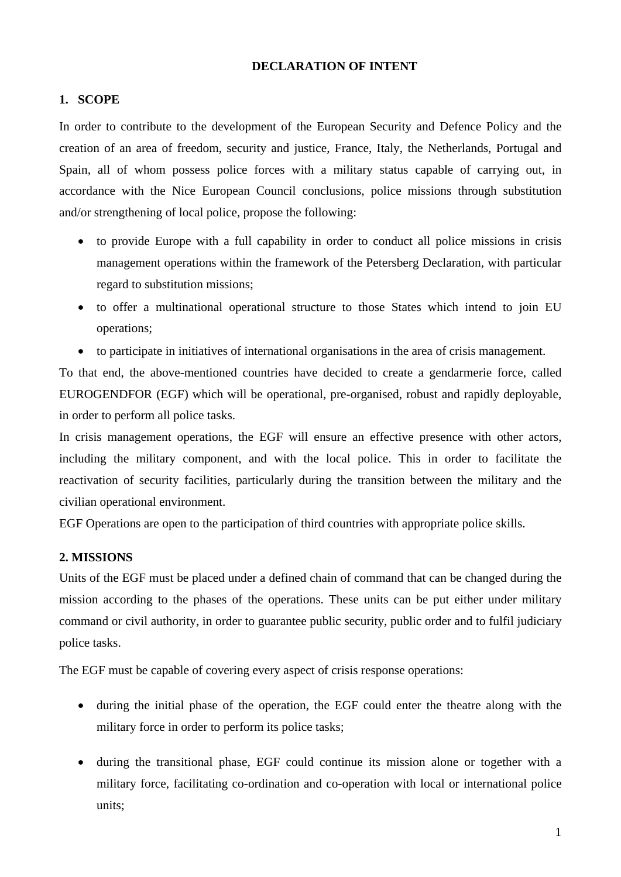#### **DECLARATION OF INTENT**

#### **1. SCOPE**

In order to contribute to the development of the European Security and Defence Policy and the creation of an area of freedom, security and justice, France, Italy, the Netherlands, Portugal and Spain, all of whom possess police forces with a military status capable of carrying out, in accordance with the Nice European Council conclusions, police missions through substitution and/or strengthening of local police, propose the following:

- to provide Europe with a full capability in order to conduct all police missions in crisis management operations within the framework of the Petersberg Declaration, with particular regard to substitution missions;
- to offer a multinational operational structure to those States which intend to join EU operations;
- to participate in initiatives of international organisations in the area of crisis management.

To that end, the above-mentioned countries have decided to create a gendarmerie force, called EUROGENDFOR (EGF) which will be operational, pre-organised, robust and rapidly deployable, in order to perform all police tasks.

In crisis management operations, the EGF will ensure an effective presence with other actors, including the military component, and with the local police. This in order to facilitate the reactivation of security facilities, particularly during the transition between the military and the civilian operational environment.

EGF Operations are open to the participation of third countries with appropriate police skills.

#### **2. MISSIONS**

Units of the EGF must be placed under a defined chain of command that can be changed during the mission according to the phases of the operations. These units can be put either under military command or civil authority, in order to guarantee public security, public order and to fulfil judiciary police tasks.

The EGF must be capable of covering every aspect of crisis response operations:

- during the initial phase of the operation, the EGF could enter the theatre along with the military force in order to perform its police tasks;
- during the transitional phase, EGF could continue its mission alone or together with a military force, facilitating co-ordination and co-operation with local or international police units;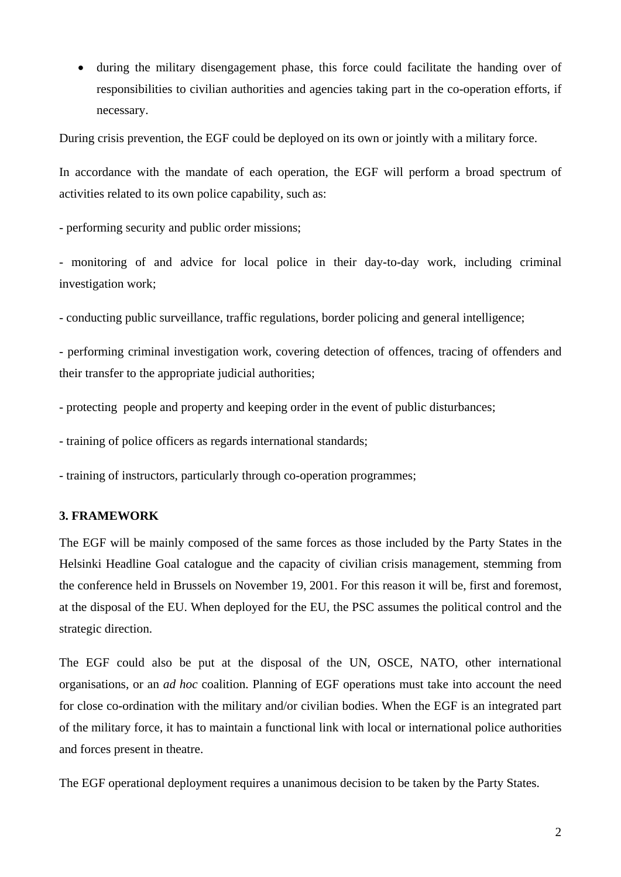• during the military disengagement phase, this force could facilitate the handing over of responsibilities to civilian authorities and agencies taking part in the co-operation efforts, if necessary.

During crisis prevention, the EGF could be deployed on its own or jointly with a military force.

In accordance with the mandate of each operation, the EGF will perform a broad spectrum of activities related to its own police capability, such as:

- performing security and public order missions;

- monitoring of and advice for local police in their day-to-day work, including criminal investigation work;

- conducting public surveillance, traffic regulations, border policing and general intelligence;

- performing criminal investigation work, covering detection of offences, tracing of offenders and their transfer to the appropriate judicial authorities;

- protecting people and property and keeping order in the event of public disturbances;

- training of police officers as regards international standards;

- training of instructors, particularly through co-operation programmes;

#### **3. FRAMEWORK**

The EGF will be mainly composed of the same forces as those included by the Party States in the Helsinki Headline Goal catalogue and the capacity of civilian crisis management, stemming from the conference held in Brussels on November 19, 2001. For this reason it will be, first and foremost, at the disposal of the EU. When deployed for the EU, the PSC assumes the political control and the strategic direction.

The EGF could also be put at the disposal of the UN, OSCE, NATO, other international organisations, or an *ad hoc* coalition. Planning of EGF operations must take into account the need for close co-ordination with the military and/or civilian bodies. When the EGF is an integrated part of the military force, it has to maintain a functional link with local or international police authorities and forces present in theatre.

The EGF operational deployment requires a unanimous decision to be taken by the Party States.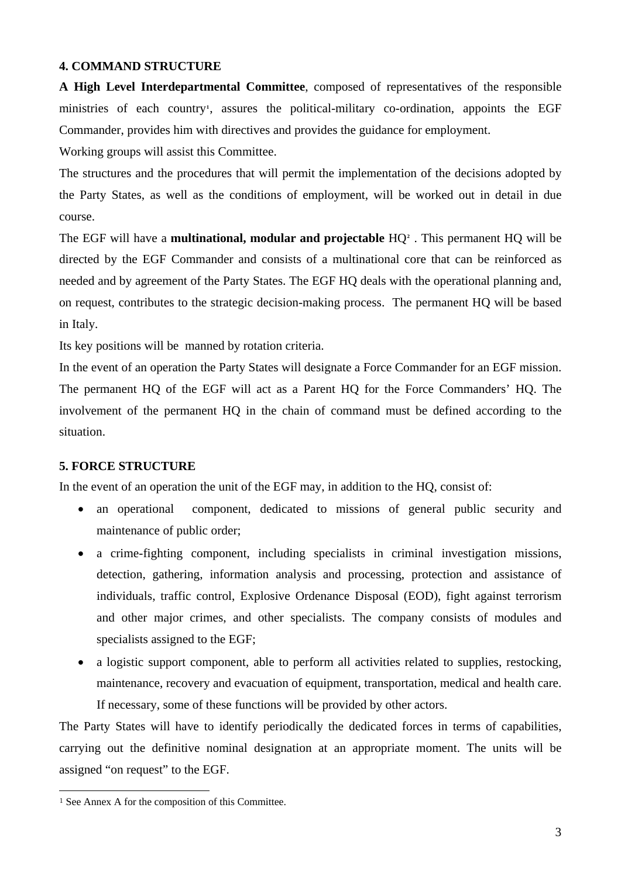#### **4. COMMAND STRUCTURE**

**A High Level Interdepartmental Committee**, composed of representatives of the responsible ministries of each country**[1](#page-2-0)** , assures the political-military co-ordination, appoints the EGF Commander, provides him with directives and provides the guidance for employment.

Working groups will assist this Committee.

The structures and the procedures that will permit the implementation of the decisions adopted by the Party States, as well as the conditions of employment, will be worked out in detail in due course.

The EGF will have a **multinational, modular and projectable** HQ**[2](#page-2-1)** . This permanent HQ will be directed by the EGF Commander and consists of a multinational core that can be reinforced as needed and by agreement of the Party States. The EGF HQ deals with the operational planning and, on request, contributes to the strategic decision-making process. The permanent HQ will be based in Italy.

Its key positions will be manned by rotation criteria.

In the event of an operation the Party States will designate a Force Commander for an EGF mission. The permanent HQ of the EGF will act as a Parent HQ for the Force Commanders' HQ. The involvement of the permanent HQ in the chain of command must be defined according to the situation.

#### **5. FORCE STRUCTURE**

In the event of an operation the unit of the EGF may, in addition to the HQ, consist of:

- an operational component, dedicated to missions of general public security and maintenance of public order;
- a crime-fighting component, including specialists in criminal investigation missions, detection, gathering, information analysis and processing, protection and assistance of individuals, traffic control, Explosive Ordenance Disposal (EOD), fight against terrorism and other major crimes, and other specialists. The company consists of modules and specialists assigned to the EGF;
- a logistic support component, able to perform all activities related to supplies, restocking, maintenance, recovery and evacuation of equipment, transportation, medical and health care. If necessary, some of these functions will be provided by other actors.

The Party States will have to identify periodically the dedicated forces in terms of capabilities, carrying out the definitive nominal designation at an appropriate moment. The units will be assigned "on request" to the EGF.

 $\overline{a}$ 

<span id="page-2-1"></span><span id="page-2-0"></span><sup>1</sup> See Annex A for the composition of this Committee.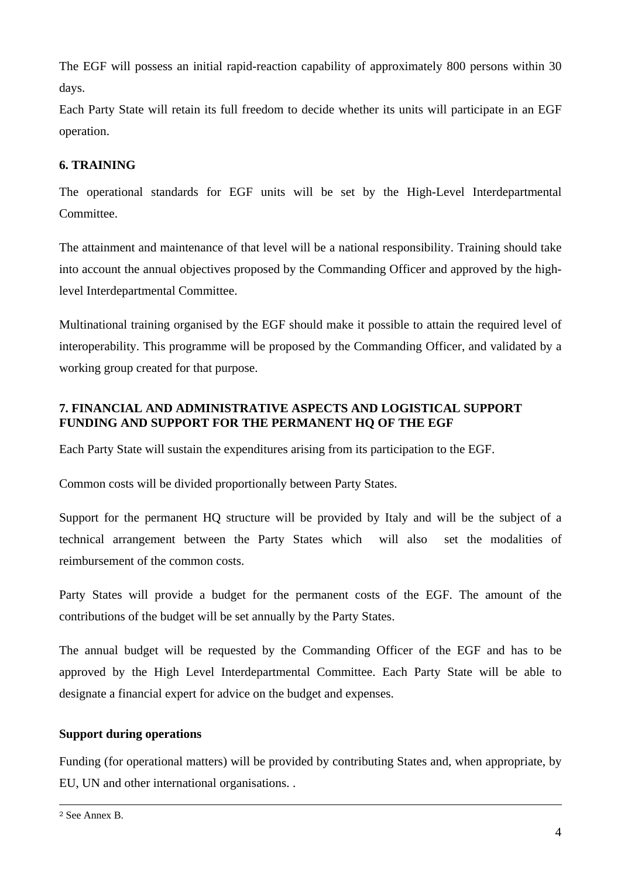The EGF will possess an initial rapid-reaction capability of approximately 800 persons within 30 days.

Each Party State will retain its full freedom to decide whether its units will participate in an EGF operation.

## **6. TRAINING**

The operational standards for EGF units will be set by the High-Level Interdepartmental Committee.

The attainment and maintenance of that level will be a national responsibility. Training should take into account the annual objectives proposed by the Commanding Officer and approved by the highlevel Interdepartmental Committee.

Multinational training organised by the EGF should make it possible to attain the required level of interoperability. This programme will be proposed by the Commanding Officer, and validated by a working group created for that purpose.

## **7. FINANCIAL AND ADMINISTRATIVE ASPECTS AND LOGISTICAL SUPPORT FUNDING AND SUPPORT FOR THE PERMANENT HQ OF THE EGF**

Each Party State will sustain the expenditures arising from its participation to the EGF.

Common costs will be divided proportionally between Party States.

Support for the permanent HQ structure will be provided by Italy and will be the subject of a technical arrangement between the Party States which will also set the modalities of reimbursement of the common costs.

Party States will provide a budget for the permanent costs of the EGF. The amount of the contributions of the budget will be set annually by the Party States.

The annual budget will be requested by the Commanding Officer of the EGF and has to be approved by the High Level Interdepartmental Committee. Each Party State will be able to designate a financial expert for advice on the budget and expenses.

#### **Support during operations**

Funding (for operational matters) will be provided by contributing States and, when appropriate, by EU, UN and other international organisations. .

 $\overline{a}$ 

<sup>2</sup> See Annex B.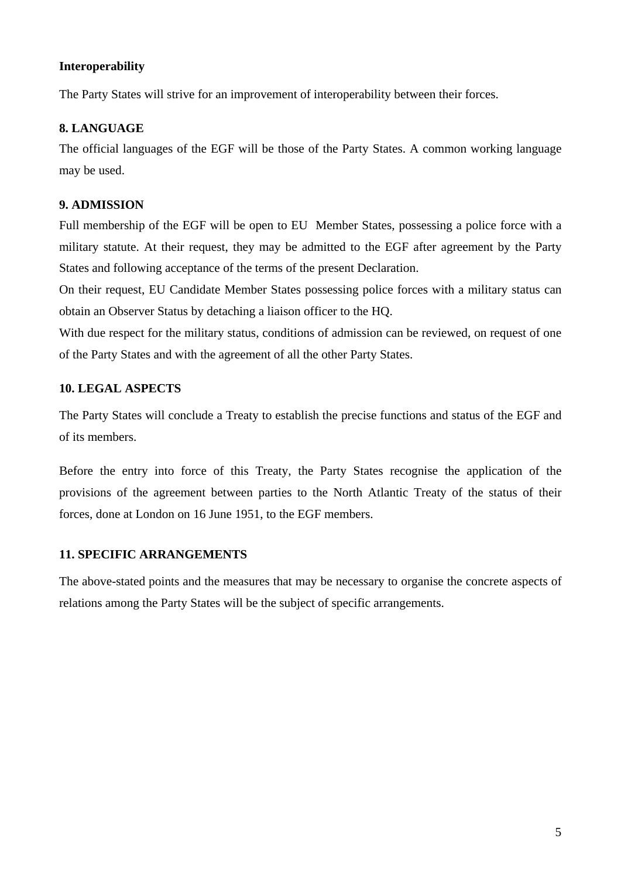#### **Interoperability**

The Party States will strive for an improvement of interoperability between their forces.

#### **8. LANGUAGE**

The official languages of the EGF will be those of the Party States. A common working language may be used.

#### **9. ADMISSION**

Full membership of the EGF will be open to EU Member States, possessing a police force with a military statute. At their request, they may be admitted to the EGF after agreement by the Party States and following acceptance of the terms of the present Declaration.

On their request, EU Candidate Member States possessing police forces with a military status can obtain an Observer Status by detaching a liaison officer to the HQ.

With due respect for the military status, conditions of admission can be reviewed, on request of one of the Party States and with the agreement of all the other Party States.

#### **10. LEGAL ASPECTS**

The Party States will conclude a Treaty to establish the precise functions and status of the EGF and of its members.

Before the entry into force of this Treaty, the Party States recognise the application of the provisions of the agreement between parties to the North Atlantic Treaty of the status of their forces, done at London on 16 June 1951, to the EGF members.

#### **11. SPECIFIC ARRANGEMENTS**

The above-stated points and the measures that may be necessary to organise the concrete aspects of relations among the Party States will be the subject of specific arrangements.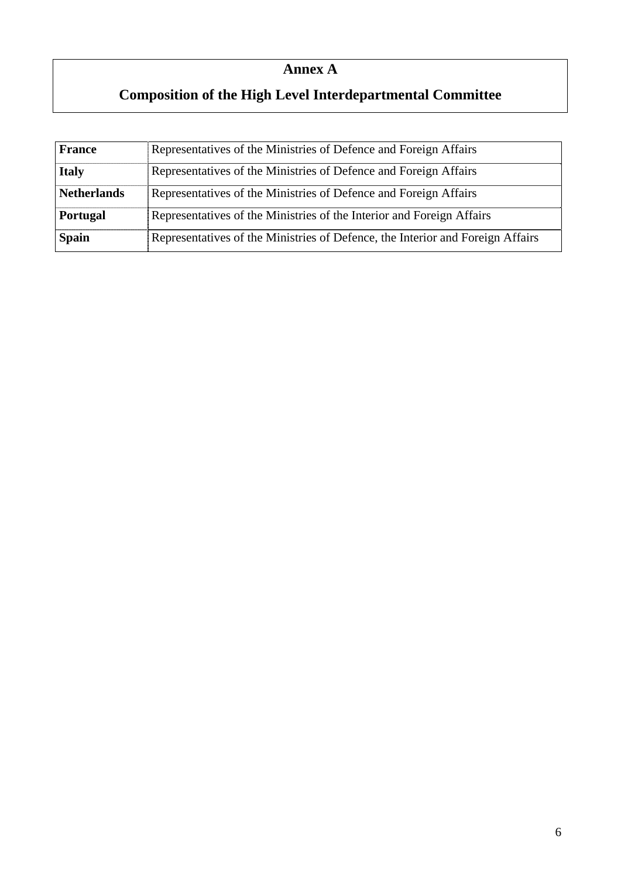# **Annex A**

# **Composition of the High Level Interdepartmental Committee**

| <b>France</b>      | Representatives of the Ministries of Defence and Foreign Affairs               |  |
|--------------------|--------------------------------------------------------------------------------|--|
| <b>Italy</b>       | Representatives of the Ministries of Defence and Foreign Affairs               |  |
| <b>Netherlands</b> | Representatives of the Ministries of Defence and Foreign Affairs               |  |
| Portugal           | Representatives of the Ministries of the Interior and Foreign Affairs          |  |
| <b>Spain</b>       | Representatives of the Ministries of Defence, the Interior and Foreign Affairs |  |